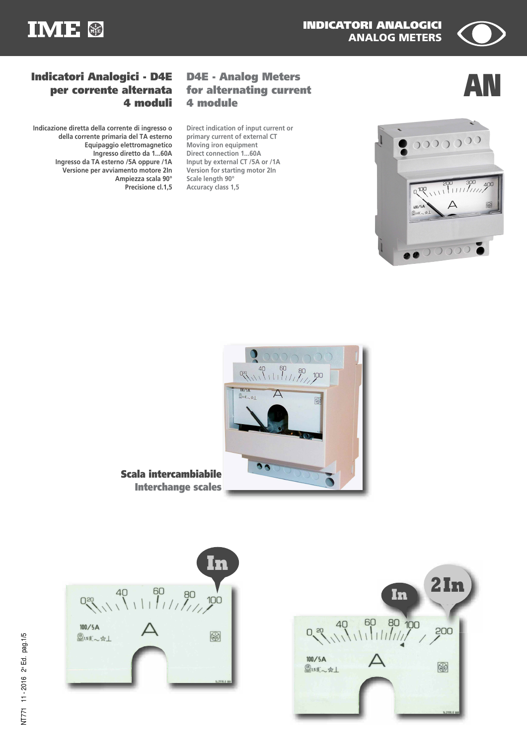



# **D4E - Analog Meters 4 module**

**Direct indication of input current or primary current of external CT Moving iron equipment Direct connection 1...60A Input by external CT /5A or /1A Version for starting motor 2In Scale length 90° Accuracy class 1,5**

## **AN Indicatori Analogici - D4E for alternating current per corrente alternata 4 moduli**

**Indicazione diretta della corrente di ingresso o della corrente primaria del TA esterno Equipaggio elettromagnetico Ingresso diretto da 1...60A Ingresso da TA esterno /5A oppure /1A Versione per avviamento motore 2In Ampiezza scala 90° Precisione cl.1,5**



**Scala intercambiabile Interchange scales**



| In                 | 2In            |
|--------------------|----------------|
| 40 60 80 100       | 500            |
| 100/5A<br>●1.5ま~☆上 |                |
|                    | 14.21191.0 888 |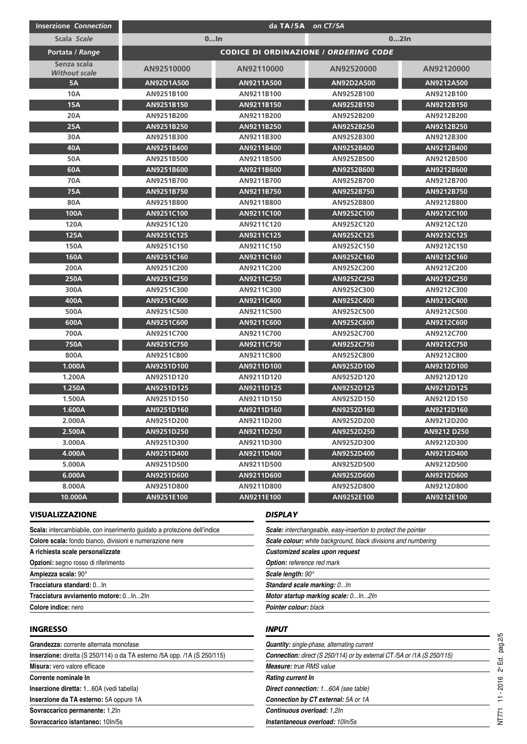| <b>Inserzione Connection</b>        | da TA/5A on CT/5A                            |                |            |             |
|-------------------------------------|----------------------------------------------|----------------|------------|-------------|
| Scala Scale                         | $0$ In<br>$02$ In                            |                |            |             |
| Portata / Range                     | <b>CODICE DI ORDINAZIONE / ORDERING CODE</b> |                |            |             |
| Senza scala<br><b>Without scale</b> | AN92510000                                   | AN92110000     | AN92520000 | AN92120000  |
| <b>5A</b>                           | AN92D1A500                                   | AN9211A500     | AN92D2A500 | AN9212A500  |
| <b>10A</b>                          | AN9251B100                                   | AN9211B100     | AN9252B100 | AN9212B100  |
| <b>15A</b>                          | AN9251B150                                   | AN9211B150     | AN9252B150 | AN9212B150  |
| 20A                                 | AN9251B200                                   | AN9211B200     | AN9252B200 | AN9212B200  |
| <b>25A</b>                          | AN9251B250                                   | AN9211B250     | AN9252B250 | AN9212B250  |
| 30A                                 | AN9251B300                                   | AN9211B300     | AN9252B300 | AN9212B300  |
| 40A                                 | AN9251B400                                   | AN9211B400     | AN9252B400 | AN9212B400  |
| 50A                                 | AN9251B500                                   | AN9211B500     | AN9252B500 | AN9212B500  |
| 60A                                 | AN9251B600                                   | AN9211B600     | AN9252B600 | AN9212B600  |
| 70A                                 | AN9251B700                                   | AN9211B700     | AN9252B700 | AN9212B700  |
| 75A                                 | AN9251B750                                   | AN9211B750     | AN9252B750 | AN9212B750  |
| 80A                                 | AN9251B800                                   | AN9211B800     | AN9252B800 | AN9212B800  |
| 100A                                | AN9251C100                                   | AN9211C100     | AN9252C100 | AN9212C100  |
| 120A                                | AN9251C120                                   | AN9211C120     | AN9252C120 | AN9212C120  |
| 125A                                | AN9251C125                                   | AN9211C125     | AN9252C125 | AN9212C125  |
| 150A                                | AN9251C150                                   | AN9211C150     | AN9252C150 | AN9212C150  |
| <b>160A</b>                         | AN9251C160                                   | AN9211C160     | AN9252C160 | AN9212C160  |
| 200A                                | AN9251C200                                   | AN9211C200     | AN9252C200 | AN9212C200  |
| 250A                                | AN9251C250                                   | AN9211C250     | AN9252C250 | AN9212C250  |
| 300A                                | AN9251C300                                   | AN9211C300     | AN9252C300 | AN9212C300  |
| 400A                                | AN9251C400                                   | AN9211C400     | AN9252C400 | AN9212C400  |
| 500A                                | AN9251C500                                   | AN9211C500     | AN9252C500 | AN9212C500  |
| 600A                                | AN9251C600                                   | AN9211C600     | AN9252C600 | AN9212C600  |
| 700A                                | AN9251C700                                   | AN9211C700     | AN9252C700 | AN9212C700  |
| 750A                                | AN9251C750                                   | AN9211C750     | AN9252C750 | AN9212C750  |
| 800A                                | AN9251C800                                   | AN9211C800     | AN9252C800 | AN9212C800  |
| 1.000A                              | AN9251D100                                   | AN9211D100     | AN9252D100 | AN9212D100  |
| 1.200A                              | AN9251D120                                   | AN9211D120     | AN9252D120 | AN9212D120  |
| 1.250A                              | AN9251D125                                   | AN9211D125     | AN9252D125 | AN9212D125  |
| 1.500A                              | AN9251D150                                   | AN9211D150     | AN9252D150 | AN9212D150  |
| 1.600A                              | AN9251D160                                   | AN9211D160     | AN9252D160 | AN9212D160  |
| 2.000A                              | AN9251D200                                   | AN9211D200     | AN9252D200 | AN9212D200  |
| 2.500A                              | AN9251D250                                   | AN9211D250     | AN9252D250 | AN9212 D250 |
| 3.000A                              | AN9251D300                                   | AN9211D300     | AN9252D300 | AN9212D300  |
| 4.000A                              | AN9251D400                                   | AN9211D400     | AN9252D400 | AN9212D400  |
| 5.000A                              | AN9251D500                                   | AN9211D500     | AN9252D500 | AN9212D500  |
| 6.000A                              | AN9251D600                                   | AN9211D600     | AN9252D600 | AN9212D600  |
| 8.000A                              | AN9251D800                                   | AN9211D800     | AN9252D800 | AN9212D800  |
| 10.000A                             | AN9251E100                                   | AN9211E100     | AN9252E100 | AN9212E100  |
| <b>VISUALIZZAZIONE</b>              |                                              | <b>DISPLAY</b> |            |             |

| A richiesta scale personalizzate                                         |  |  |  |
|--------------------------------------------------------------------------|--|--|--|
| Colore scala: fondo bianco, divisioni e numerazione nere                 |  |  |  |
| Scala: intercambiabile, con inserimento guidato a protezione dell'indice |  |  |  |
|                                                                          |  |  |  |

**Opzioni:** segno rosso di riferimento

**Sovraccarico istantaneo:** 10In/5s

**Ampiezza scala:** 90°

**Tracciatura standard:** 0...In

**Tracciatura avviamento motore:** 0...In...2In

**Colore indice:** nero

#### **INGRESSO**

**Grandezza:** corrente alternata monofase **Inserzione:** diretta (S 250/114) o da TA esterno /5A opp. /1A (S 250/115) **Misura:** vero valore efficace **Corrente nominale In Inserzione diretta:** 1...60A (vedi tabella) **Inserzione da TA esterno:** 5A oppure 1A **Sovraccarico permanente:** 1,2In

#### *DISPLAY*

| <b>Scale:</b> interchangeable, easy-insertion to protect the pointer |  |
|----------------------------------------------------------------------|--|
| Scale colour: white background, black divisions and numbering        |  |
| Customized scales upon request                                       |  |
| <b>Option:</b> reference red mark                                    |  |
| Scale length: 90°                                                    |  |
| Standard scale marking: 0In                                          |  |
| Motor startup marking scale: 0ln2ln                                  |  |
| <b>Pointer colour:</b> black                                         |  |

#### *INPUT*

| <b>Quantity:</b> single-phase, alternating current                             |
|--------------------------------------------------------------------------------|
| <b>Connection:</b> direct (S 250/114) or by external CT /5A or /1A (S 250/115) |
| <b>Measure:</b> true RMS value                                                 |
| Rating current In                                                              |
| Direct connection: 160A (see table)                                            |
| <b>Connection by CT external:</b> 5A or 1A                                     |
| Continuous overload: 1,2ln                                                     |
| Instantaneous overload: 10ln/5s                                                |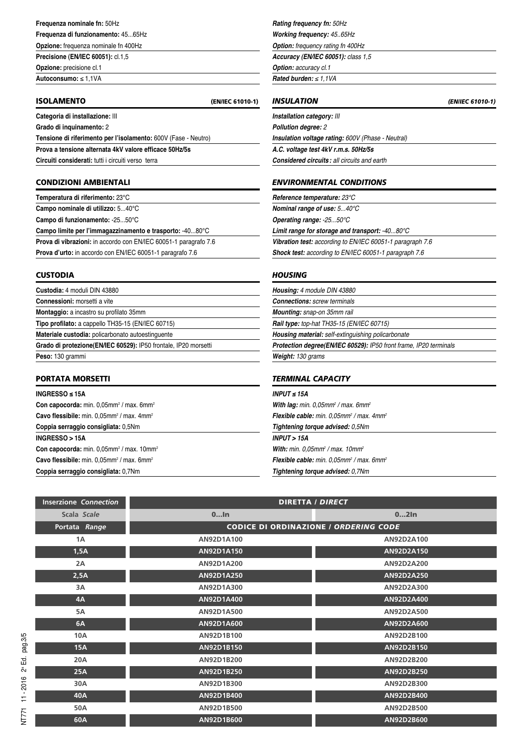### **Frequenza nominale fn:** 50Hz

**Frequenza di funzionamento:** 45...65Hz

**Opzione:** frequenza nominale fn 400Hz **Precisione (EN/IEC 60051):** cl.1,5

**Opzione:** precisione cl.1

**Autoconsumo:** ≤ 1,1VA

#### **ISOLAMENTO (EN/IEC 61010-1)**

**Categoria di installazione:** III

**Grado di inquinamento:** 2

**Tensione di riferimento per l'isolamento:** 600V (Fase - Neutro)

**Prova a tensione alternata 4kV valore efficace 50Hz/5s**

**Circuiti considerati:** tutti i circuiti verso terra

#### **CONDIZIONI AMBIENTALI**

**Temperatura di riferimento:** 23°C **Campo nominale di utilizzo:** 5...40°C

**Campo di funzionamento:** -25...50°C

**Campo limite per l'immagazzinamento e trasporto:** -40...80°C

**Prova di vibrazioni:** in accordo con EN/IEC 60051-1 paragrafo 7.6 **Prova d'urto:** in accordo con EN/IEC 60051-1 paragrafo 7.6

#### **CUSTODIA**

| <b>Custodia:</b> 4 moduli DIN 43880                             |
|-----------------------------------------------------------------|
| Connessioni: morsetti a vite                                    |
| Montaggio: a incastro su profilato 35mm                         |
| Tipo profilato: a cappello TH35-15 (EN/IEC 60715)               |
| Materiale custodia: policarbonato autoestinguente               |
| Grado di protezione(EN/IEC 60529): IP50 frontale, IP20 morsetti |
| Peso: 130 grammi                                                |

#### **PORTATA MORSETTI**

**INGRESSO ≤ 15A Con capocorda:** min. 0,05mm<sup>2</sup> / max. 6mm<sup>2</sup> **Cavo flessibile:** min. 0,05mm<sup>2</sup> / max. 4mm<sup>2</sup> **Coppia serraggio consigliata:** 0,5Nm **INGRESSO > 15A Con capocorda:** min. 0,05mm<sup>2</sup> / max. 10mm<sup>2</sup> **Cavo flessibile:** min. 0,05mm<sup>2</sup> / max. 6mm<sup>2</sup> **Coppia serraggio consigliata:** 0,7Nm

*Rating frequency fn: 50Hz Working frequency: 45..65Hz*

*Option: frequency rating fn 400Hz*

*Accuracy (EN/IEC 60051): class 1,5 Option: accuracy cl.1*

*Rated burden: ≤ 1,1VA*

*INSULATION (EN/IEC 61010-1) Installation category: III Pollution degree: 2 Insulation voltage rating: 600V (Phase - Neutral) A.C. voltage test 4kV r.m.s. 50Hz/5s*

*Considered circuits: all circuits and earth*

### *ENVIRONMENTAL CONDITIONS*

*Reference temperature: 23°C Nominal range of use: 5...40°C Operating range: -25...50°C Limit range for storage and transport: -40...80°C Vibration test: according to EN/IEC 60051-1 paragraph 7.6 Shock test: according to EN/IEC 60051-1 paragraph 7.6*

#### *HOUSING*

*Housing: 4 module DIN 43880 Connections: screw terminals Mounting: snap-on 35mm rail Rail type: top-hat TH35-15 (EN/IEC 60715) Housing material: self-extinguishing policarbonate Protection degree(EN/IEC 60529): IP50 front frame, IP20 terminals Weight: 130 grams TERMINAL CAPACITY*

| INPUT $\leq$ 15A                                                        |  |
|-------------------------------------------------------------------------|--|
| With lag: min. $0,05$ mm <sup>2</sup> / max. 6mm <sup>2</sup>           |  |
| Flexible cable: min. 0.05mm <sup>2</sup> / max. 4mm <sup>2</sup>        |  |
| Tightening torque advised: 0.5Nm                                        |  |
| <b>INPUT &gt; 15A</b>                                                   |  |
| <b>With:</b> min. 0.05mm <sup>2</sup> / max. 10mm <sup>2</sup>          |  |
| <b>Flexible cable:</b> min. 0.05mm <sup>2</sup> / max. 6mm <sup>2</sup> |  |
| Tightening torque advised: 0,7Nm                                        |  |

| <b>Inserzione Connection</b> | <b>DIRETTA / DIRECT</b>                      |            |  |
|------------------------------|----------------------------------------------|------------|--|
| Scala Scale                  | $0$ In                                       | $02$ In    |  |
| Portata Range                | <b>CODICE DI ORDINAZIONE / ORDERING CODE</b> |            |  |
| 1A                           | AN92D1A100                                   | AN92D2A100 |  |
| 1,5A                         | AN92D1A150                                   | AN92D2A150 |  |
| 2A                           | AN92D1A200                                   | AN92D2A200 |  |
| 2,5A                         | AN92D1A250                                   | AN92D2A250 |  |
| 3A                           | AN92D1A300                                   | AN92D2A300 |  |
| 4A                           | AN92D1A400                                   | AN92D2A400 |  |
| <b>5A</b>                    | AN92D1A500                                   | AN92D2A500 |  |
| 6A                           | AN92D1A600                                   | AN92D2A600 |  |
| <b>10A</b>                   | AN92D1B100                                   | AN92D2B100 |  |
| <b>15A</b>                   | AN92D1B150                                   | AN92D2B150 |  |
| 20A                          | AN92D1B200                                   | AN92D2B200 |  |
| <b>25A</b>                   | AN92D1B250                                   | AN92D2B250 |  |
| 30A                          | AN92D1B300                                   | AN92D2B300 |  |
| 40A                          | AN92D1B400                                   | AN92D2B400 |  |
| 50A                          | AN92D1B500                                   | AN92D2B500 |  |
| 60A                          | AN92D1B600                                   | AN92D2B600 |  |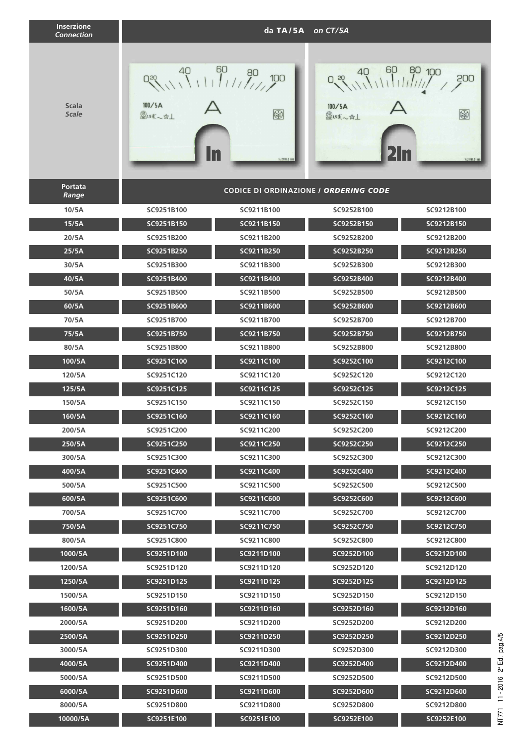| <b>Inserzione</b><br><b>Connection</b> |                                    | da TA/5A on CT/5A                                              |                                                   |                                      |
|----------------------------------------|------------------------------------|----------------------------------------------------------------|---------------------------------------------------|--------------------------------------|
| <b>Scala</b><br><b>Scale</b>           | $O_{50}$<br>100/5A<br>图1.5 主 一 ☆ 上 | $^{40}$ $^{60}$ $^{80}$<br>100<br>$\bigcirc$<br>14.21116.0 888 | 60<br>$0, \frac{20}{11}$<br>100/5A<br>图1.5 主 ~☆ 上 | 80 100<br>200<br>3<br>14.21191.0 332 |
| Portata<br>Range                       |                                    | <b>CODICE DI ORDINAZIONE / ORDERING CODE</b>                   |                                                   |                                      |
| 10/5A                                  | SC9251B100                         | SC9211B100                                                     | SC9252B100                                        | SC9212B100                           |
| 15/5A                                  | SC9251B150                         | SC9211B150                                                     | SC9252B150                                        | SC9212B150                           |
| 20/5A                                  | SC9251B200                         | SC9211B200                                                     | SC9252B200                                        | SC9212B200                           |
| 25/5A                                  | SC9251B250                         | SC9211B250                                                     | SC9252B250                                        | SC9212B250                           |
| 30/5A                                  | SC9251B300                         | SC9211B300                                                     | SC9252B300                                        | SC9212B300                           |
| 40/5A                                  | SC9251B400                         | SC9211B400                                                     | SC9252B400                                        | SC9212B400                           |
| 50/5A                                  | SC9251B500                         | SC9211B500                                                     | SC9252B500                                        | SC9212B500                           |
| 60/5A                                  | SC9251B600                         | SC9211B600                                                     | SC9252B600                                        | SC9212B600                           |
| 70/5A                                  | SC9251B700                         | SC9211B700                                                     | SC9252B700                                        | SC9212B700                           |
| 75/5A                                  | SC9251B750                         | SC9211B750                                                     | SC9252B750                                        | SC9212B750                           |
| 80/5A                                  | SC9251B800                         | SC9211B800                                                     | SC9252B800                                        | SC9212B800                           |
| 100/5A                                 | SC9251C100                         | SC9211C100                                                     | SC9252C100                                        | SC9212C100                           |
| 120/5A                                 | SC9251C120                         | SC9211C120                                                     | SC9252C120                                        | SC9212C120                           |
| 125/5A                                 | SC9251C125                         | SC9211C125                                                     | SC9252C125                                        | SC9212C125                           |
| 150/5A                                 | SC9251C150                         | SC9211C150                                                     | SC9252C150                                        | SC9212C150                           |
| 160/5A                                 | SC9251C160                         | SC9211C160                                                     | SC9252C160                                        | SC9212C160                           |
| 200/5A                                 | SC9251C200                         | SC9211C200                                                     | SC9252C200                                        | SC9212C200                           |
| 250/5A                                 | SC9251C250                         | SC9211C250                                                     | SC9252C250                                        | SC9212C250                           |
| 300/5A                                 | SC9251C300                         | SC9211C300                                                     | SC9252C300                                        | SC9212C300                           |
| 400/5A                                 | SC9251C400                         | SC9211C400                                                     | SC9252C400                                        | SC9212C400                           |
| 500/5A                                 | SC9251C500                         | SC9211C500                                                     | SC9252C500                                        | SC9212C500                           |
| 600/5A                                 | SC9251C600                         | SC9211C600                                                     | SC9252C600                                        | SC9212C600                           |
| 700/5A                                 | SC9251C700                         | SC9211C700                                                     | SC9252C700                                        | SC9212C700                           |
| 750/5A                                 | SC9251C750                         | SC9211C750                                                     | SC9252C750                                        | SC9212C750                           |
| 800/5A                                 | SC9251C800                         | SC9211C800                                                     | SC9252C800                                        | SC9212C800                           |
| 1000/5A                                | SC9251D100                         | SC9211D100                                                     | SC9252D100                                        | SC9212D100                           |
| 1200/5A                                | SC9251D120                         | SC9211D120                                                     | SC9252D120                                        | SC9212D120                           |
| 1250/5A                                | SC9251D125                         | SC9211D125                                                     | SC9252D125                                        | SC9212D125                           |
| 1500/5A                                | SC9251D150                         | SC9211D150                                                     | SC9252D150                                        | SC9212D150                           |
| 1600/5A                                | SC9251D160                         | SC9211D160                                                     | SC9252D160                                        | SC9212D160                           |
| 2000/5A                                | SC9251D200                         | SC9211D200                                                     | SC9252D200                                        | SC9212D200                           |
| 2500/5A                                | SC9251D250                         | SC9211D250                                                     | SC9252D250                                        | SC9212D250                           |
| 3000/5A                                | SC9251D300                         | SC9211D300                                                     | SC9252D300                                        | SC9212D300                           |
| 4000/5A                                | SC9251D400                         | SC9211D400                                                     | SC9252D400                                        | SC9212D400                           |
| 5000/5A                                | SC9251D500                         | SC9211D500                                                     | SC9252D500                                        | SC9212D500                           |
| 6000/5A                                | SC9251D600                         | SC9211D600                                                     | SC9252D600                                        | SC9212D600                           |
| 8000/5A                                | SC9251D800                         | SC9211D800                                                     | SC9252D800                                        | SC9212D800                           |
| 10000/5A                               | SC9251E100                         | SC9251E100                                                     | SC9252E100                                        | SC9252E100                           |